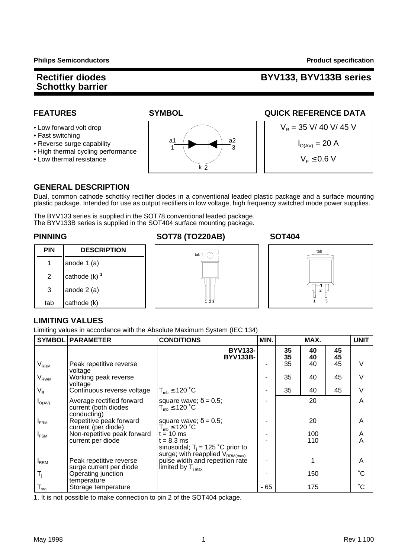### **Rectifier diodes BYV133, BYV133B series**

- 
- Fast switching
- 
- High thermal cycling performance
- 



#### **FEATURES SYMBOL SYMBOL QUICK REFERENCE DATA**



#### **GENERAL DESCRIPTION**

Dual, common cathode schottky rectifier diodes in a conventional leaded plastic package and a surface mounting plastic package. Intended for use as output rectifiers in low voltage, high frequency switched mode power supplies.

The BYV133 series is supplied in the SOT78 conventional leaded package. The BYV133B series is supplied in the SOT404 surface mounting package.

| <b>DESCRIPTION</b><br>PIN |                            |  |
|---------------------------|----------------------------|--|
|                           | anode 1 (a)                |  |
| 2                         | cathode $(k)$ <sup>1</sup> |  |
| 3                         | anode 2 (a)                |  |
| tab                       | cathode (k)                |  |



## $\subset$ tab 1 23



1 3

#### **LIMITING VALUES**

Limiting values in accordance with the Absolute Maximum System (IEC 134)

|                           | <b>SYMBOL PARAMETER</b>                                          | <b>CONDITIONS</b>                                                                                     | MIN. |          | MAX.       |          | <b>UNIT</b>         |
|---------------------------|------------------------------------------------------------------|-------------------------------------------------------------------------------------------------------|------|----------|------------|----------|---------------------|
|                           |                                                                  | <b>BYV133-</b><br><b>BYV133B-</b>                                                                     |      | 35<br>35 | 40<br>40   | 45<br>45 |                     |
| $V_{RRM}$                 | Peak repetitive reverse<br>voltage                               |                                                                                                       |      | 35       | 40         | 45       | V                   |
| $V_{RWM}$                 | Working peak reverse<br>voltage                                  |                                                                                                       |      | 35       | 40         | 45       | $\vee$              |
| $V_{R}$                   | Continuous reverse voltage                                       | $T_{mb} \leq 120$ °C                                                                                  |      | 35       | 40         | 45       | $\vee$              |
| $I_{O(AV)}$               | Average rectified forward<br>current (both diodes<br>conducting) | square wave; $\delta = 0.5$ ;<br>$T_{mb} \leq 120 °C$                                                 |      |          | 20         |          | A                   |
| $I_{\text{FRM}}$          | Repetitive peak forward<br>current (per diode)                   | square wave; $\delta = 0.5$ ;<br>$T_{mb} \leq 120 °C$                                                 |      |          | 20         |          | A                   |
| $I_{FSM}$                 | Non-repetitive peak forward<br>current per diode                 | $t = 10$ ms<br>$t = 8.3$ ms<br>sinusoidal; $T_i = 125$ °C prior to<br>surge; with reapplied VRRM(max) |      |          | 100<br>110 |          | Α<br>$\overline{A}$ |
| $I_{RRM}$                 | Peak repetitive reverse<br>surge current per diode               | pulse width and repetition rate<br>$limited$ by $T_{i max}$                                           |      |          |            |          | A                   |
| $\mathsf{T}_{\mathsf{i}}$ | Operating junction<br>temperature                                |                                                                                                       |      |          | 150        |          | $^{\circ}C$         |
| I stg                     | Storage temperature                                              |                                                                                                       | - 65 |          | 175        |          | $^{\circ}C$         |

**1**. It is not possible to make connection to pin 2 of the SOT404 pckage.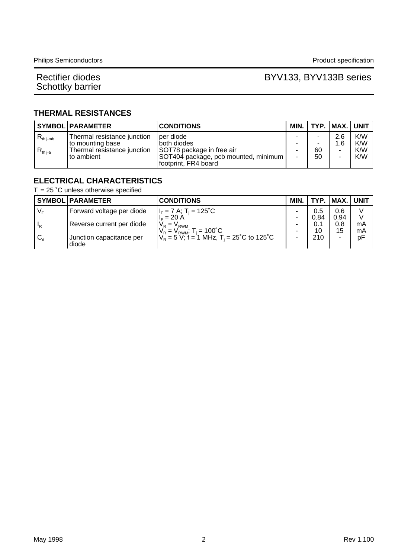# Rectifier diodes<br>Schottky barrier

### BYV133, BYV133B series

#### **THERMAL RESISTANCES**

|                                 | <b>SYMBOL PARAMETER</b>                                                                        | <b>CONDITIONS</b>                                                                                                     | MIN. |               | TYP.   MAX.   UNIT |                          |
|---------------------------------|------------------------------------------------------------------------------------------------|-----------------------------------------------------------------------------------------------------------------------|------|---------------|--------------------|--------------------------|
| $R_{th\ j-mb}$<br>$R_{th\,j-a}$ | Thermal resistance junction<br>to mounting base<br>Thermal resistance junction<br>I to ambient | per diode<br>both diodes<br>SOT78 package in free air<br>SOT404 package, pcb mounted, minimum<br>footprint, FR4 board |      | ٠<br>60<br>50 | 2.6<br>1.6         | K/W<br>K/W<br>K/W<br>K/W |

#### **ELECTRICAL CHARACTERISTICS**

 $T_j$  = 25  $^{\circ}$ C unless otherwise specified

|                           | <b>SYMBOL PARAMETER</b>                  | <b>CONDITIONS</b>                                                                                   | MIN. | TYP.        | MAX.        | <b>UNIT</b> |
|---------------------------|------------------------------------------|-----------------------------------------------------------------------------------------------------|------|-------------|-------------|-------------|
| V⊧                        | Forward voltage per diode                | $II_F = 7$ A; T <sub>j</sub> = 125 <sup>°</sup> C                                                   |      | 0.5         | 0.6         | V           |
| $\mathbf{I}_{\mathsf{R}}$ | Reverse current per diode                | $I_{E} = 20 A$<br>$V_R = V_{RWM}$                                                                   |      | 0.84<br>0.1 | 0.94<br>0.8 | V<br>mA     |
| $C_{d}$                   | <b>Junction capacitance per</b><br>diode | $V_R = V_{RWM}$ ; T <sub>j</sub> = 100°C<br>$V_R = 5 V$ ; f = 1 MHz, T <sub>i</sub> = 25°C to 125°C |      | 10<br>210   | 15          | mA<br>pF    |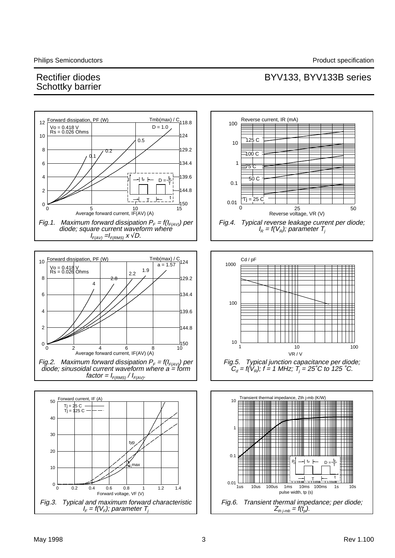#### Rectifier diodes BYV133, BYV133B series Schottky barrier

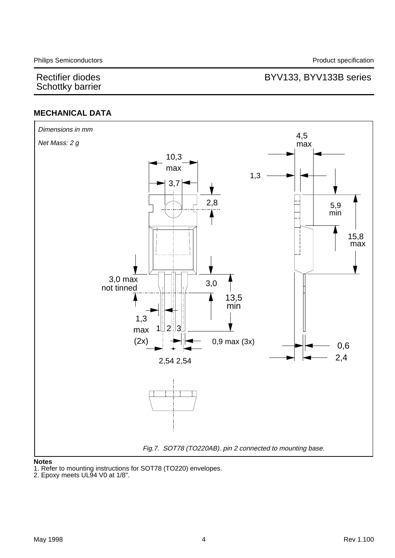### Rectifier diodes **BYV133, BYV133B** series

#### **MECHANICAL DATA**



#### **Notes**

1. Refer to mounting instructions for SOT78 (TO220) envelopes.

<sup>2.</sup> Epoxy meets UL94 V0 at 1/8".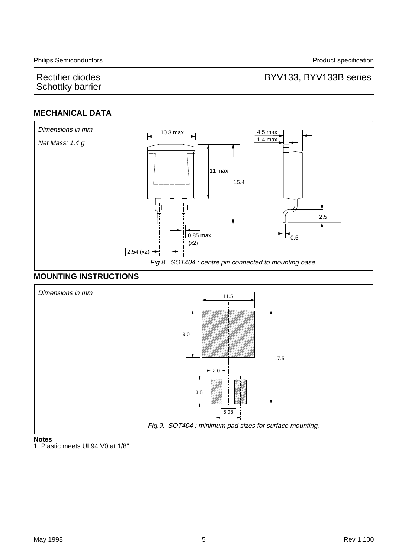### Rectifier diodes **BYV133, BYV133B** series

#### **MECHANICAL DATA**



#### **MOUNTING INSTRUCTIONS**



1. Plastic meets UL94 V0 at 1/8".